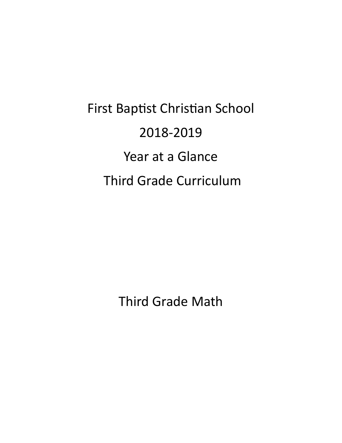First Baptist Christian School 2018-2019 Year at a Glance Third Grade Curriculum

Third Grade Math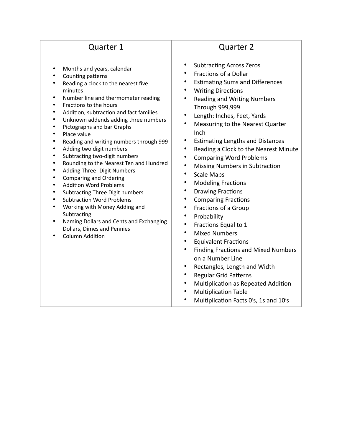- Months and years, calendar
- Counting patterns
- Reading a clock to the nearest five minutes
- Number line and thermometer reading
- Fractions to the hours
- Addition, subtraction and fact families
- Unknown addends adding three numbers
- Pictographs and bar Graphs
- Place value
- Reading and writing numbers through 999
- Adding two digit numbers
- Subtracting two-digit numbers
- Rounding to the Nearest Ten and Hundred
- Adding Three- Digit Numbers
- Comparing and Ordering
- Addition Word Problems
- Subtracting Three Digit numbers
- Subtraction Word Problems
- Working with Money Adding and **Subtracting**
- Naming Dollars and Cents and Exchanging Dollars, Dimes and Pennies
- Column Addition

- Subtracting Across Zeros
- Fractions of a Dollar
- Estimating Sums and Differences
- Writing Directions
- Reading and Writing Numbers Through 999,999
- Length: Inches, Feet, Yards
- Measuring to the Nearest Quarter Inch
- Estimating Lengths and Distances
- Reading a Clock to the Nearest Minute
- Comparing Word Problems
- Missing Numbers in Subtraction
- Scale Maps
- Modeling Fractions
- Drawing Fractions
- Comparing Fractions
- Fractions of a Group
- Probability
- Fractions Equal to 1
- Mixed Numbers
- Equivalent Fractions
- Finding Fractions and Mixed Numbers on a Number Line
- Rectangles, Length and Width
- Regular Grid Patterns
- Multiplication as Repeated Addition
- Multiplication Table
- Multiplication Facts 0's, 1s and 10's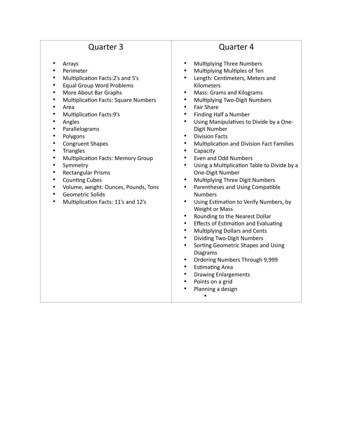- **Arrays**
- Perimeter
- Multiplication Facts:2's and 5's
- Equal Group Word Problems
- More About Bar Graphs
- Multiplication Facts: Square Numbers
- Area
- Multiplication Facts:9's
- Angles
- Parallelograms
- Polygons
- Congruent Shapes
- **Triangles**
- Multiplication Facts: Memory Group
- **Symmetry**
- Rectangular Prisms
- Counting Cubes
- Volume, weight: Ounces, Pounds, Tons
- Geometric Solids
- Multiplication Facts: 11's and 12's

- Multiplying Three Numbers
- Multiplying Multiples of Ten
- Length: Centimeters, Meters and Kilometers
- Mass: Grams and Kilograms
- Multiplying Two-Digit Numbers
- Fair Share
- Finding Half a Number
- Using Manipulatives to Divide by a One-Digit Number
- Division Facts
- Multiplication and Division Fact Families
- Capacity
- Even and Odd Numbers
- Using a Multiplication Table to Divide by a One-Digit Number
- Multiplying Three Digit Numbers
- Parentheses and Using Compatible Numbers
- Using Estimation to Verify Numbers, by Weight or Mass
- Rounding to the Nearest Dollar
- Effects of Estimation and Evaluating
- Multiplying Dollars and Cents
- Dividing Two-Digit Numbers
- Sorting Geometric Shapes and Using Diagrams
- Ordering Numbers Through 9,999
- Estimating Area
- Drawing Enlargements
- Points on a grid
- Planning a design
	- •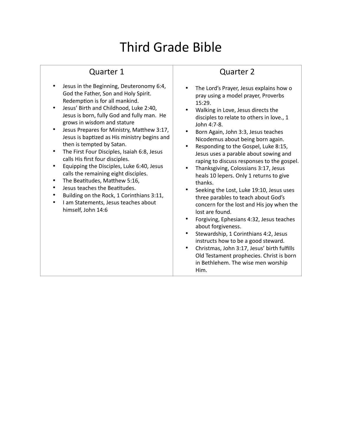## Third Grade Bible

## Quarter 1

- Jesus in the Beginning, Deuteronomy 6:4, God the Father, Son and Holy Spirit. Redemption is for all mankind.
- Jesus' Birth and Childhood, Luke 2:40, Jesus is born, fully God and fully man. He grows in wisdom and stature
- Jesus Prepares for Ministry, Matthew 3:17, Jesus is baptized as His ministry begins and then is tempted by Satan.
- The First Four Disciples, Isaiah 6:8, Jesus calls His first four disciples.
- Equipping the Disciples, Luke 6:40, Jesus calls the remaining eight disciples.
- The Beatitudes, Matthew 5:16,
- Jesus teaches the Beatitudes.
- Building on the Rock, 1 Corinthians 3:11,
- I am Statements, Jesus teaches about himself, John 14:6

- The Lord's Prayer, Jesus explains how o pray using a model prayer, Proverbs 15:29.
- Walking in Love, Jesus directs the disciples to relate to others in love., 1 John 4:7-8.
- Born Again, John 3:3, Jesus teaches Nicodemus about being born again.
- Responding to the Gospel, Luke 8:15, Jesus uses a parable about sowing and raping to discuss responses to the gospel.
- Thanksgiving, Colossians 3:17, Jesus heals 10 lepers. Only 1 returns to give thanks.
- Seeking the Lost, Luke 19:10, Jesus uses three parables to teach about God's concern for the lost and His joy when the lost are found.
- Forgiving, Ephesians 4:32, Jesus teaches about forgiveness.
- Stewardship, 1 Corinthians 4:2, Jesus instructs how to be a good steward.
- Christmas, John 3:17, Jesus' birth fulfills Old Testament prophecies. Christ is born in Bethlehem. The wise men worship Him.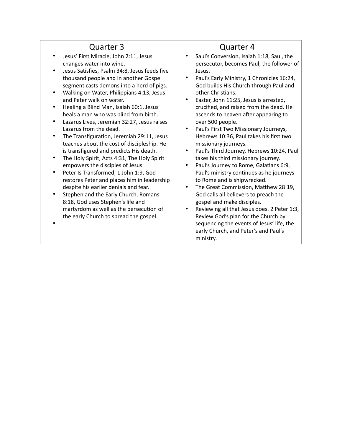- Jesus' First Miracle, John 2:11, Jesus changes water into wine.
- Jesus Satisfies, Psalm 34:8, Jesus feeds five thousand people and in another Gospel segment casts demons into a herd of pigs.
- Walking on Water, Philippians 4:13, Jesus and Peter walk on water.
- Healing a Blind Man, Isaiah 60:1, Jesus heals a man who was blind from birth.
- Lazarus Lives, Jeremiah 32:27, Jesus raises Lazarus from the dead.
- The Transfiguration, Jeremiah 29:11, Jesus teaches about the cost of discipleship. He is transfigured and predicts His death.
- The Holy Spirit, Acts 4:31, The Holy Spirit empowers the disciples of Jesus.
- Peter Is Transformed, 1 John 1:9, God restores Peter and places him in leadership despite his earlier denials and fear.
- Stephen and the Early Church, Romans 8:18, God uses Stephen's life and martyrdom as well as the persecution of the early Church to spread the gospel.

•

- Saul's Conversion, Isaiah 1:18, Saul, the persecutor, becomes Paul, the follower of Jesus.
- Paul's Early Ministry, 1 Chronicles 16:24, God builds His Church through Paul and other Christians.
- Easter, John 11:25, Jesus is arrested, crucified, and raised from the dead. He ascends to heaven after appearing to over 500 people.
- Paul's First Two Missionary Journeys, Hebrews 10:36, Paul takes his first two missionary journeys.
- Paul's Third Journey, Hebrews 10:24, Paul takes his third missionary journey.
- Paul's Journey to Rome, Galatians 6:9, Paul's ministry continues as he journeys to Rome and is shipwrecked.
- The Great Commission, Matthew 28:19, God calls all believers to preach the gospel and make disciples.
- Reviewing all that Jesus does. 2 Peter 1:3, Review God's plan for the Church by sequencing the events of Jesus' life, the early Church, and Peter's and Paul's ministry.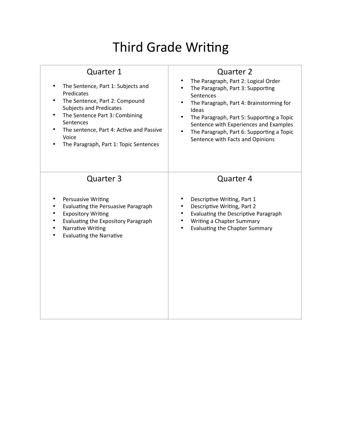# Third Grade Writing

| Quarter 1                                                                                                                                                                                          | <b>Quarter 2</b>                                                                                                                                                                      |
|----------------------------------------------------------------------------------------------------------------------------------------------------------------------------------------------------|---------------------------------------------------------------------------------------------------------------------------------------------------------------------------------------|
| The Sentence, Part 1: Subjects and                                                                                                                                                                 | The Paragraph, Part 2: Logical Order                                                                                                                                                  |
| Predicates                                                                                                                                                                                         | The Paragraph, Part 3: Supporting                                                                                                                                                     |
| The Sentence, Part 2: Compound                                                                                                                                                                     | Sentences                                                                                                                                                                             |
| <b>Subjects and Predicates</b>                                                                                                                                                                     | The Paragraph, Part 4: Brainstorming for                                                                                                                                              |
| The Sentence Part 3: Combining                                                                                                                                                                     | Ideas                                                                                                                                                                                 |
| Sentences                                                                                                                                                                                          | The Paragraph, Part 5: Supporting a Topic                                                                                                                                             |
| The sentence, Part 4: Active and Passive                                                                                                                                                           | Sentence with Experiences and Examples                                                                                                                                                |
| Voice                                                                                                                                                                                              | The Paragraph, Part 6: Supporting a Topic                                                                                                                                             |
| The Paragraph, Part 1: Topic Sentences                                                                                                                                                             | Sentence with Facts and Opinions                                                                                                                                                      |
| Quarter 3<br>Persuasive Writing<br>Evaluating the Persuasive Paragraph<br><b>Expository Writing</b><br>Evaluating the Expository Paragraph<br>Narrative Writing<br><b>Evaluating the Narrative</b> | Quarter 4<br>Descriptive Writing, Part 1<br>Descriptive Writing, Part 2<br>Evaluating the Descriptive Paragraph<br>Writing a Chapter Summary<br><b>Evaluating the Chapter Summary</b> |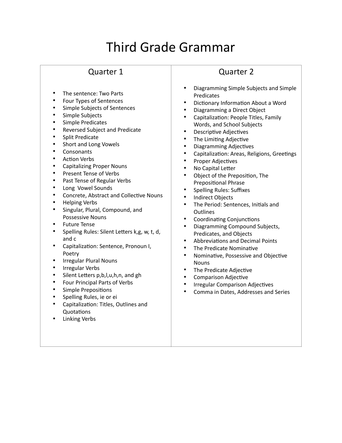# Third Grade Grammar

#### Quarter 1

- The sentence: Two Parts
- Four Types of Sentences
- Simple Subjects of Sentences
- Simple Subjects
- Simple Predicates
- Reversed Subject and Predicate
- Split Predicate
- Short and Long Vowels
- Consonants
- Action Verbs
- Capitalizing Proper Nouns
- Present Tense of Verbs
- Past Tense of Regular Verbs
- Long Vowel Sounds
- Concrete, Abstract and Collective Nouns
- Helping Verbs
- Singular, Plural, Compound, and Possessive Nouns
- Future Tense
- Spelling Rules: Silent Letters k,g, w, t, d, and c
- Capitalization: Sentence, Pronoun I, Poetry
- Irregular Plural Nouns
- Irregular Verbs
- Silent Letters p,b,l,u,h,n, and gh
- Four Principal Parts of Verbs
- Simple Prepositions
- Spelling Rules, ie or ei
- Capitalization: Titles, Outlines and Quotations
- **Linking Verbs**

- Diagramming Simple Subjects and Simple Predicates
- Dictionary Information About a Word
- Diagramming a Direct Object
- Capitalization: People Titles, Family Words, and School Subjects
- Descriptive Adjectives
- The Limiting Adjective
- Diagramming Adjectives
- Capitalization: Areas, Religions, Greetings
- Proper Adjectives
- No Capital Letter
- Object of the Preposition, The Prepositional Phrase
- Spelling Rules: Suffixes
- Indirect Objects
- The Period: Sentences, Initials and **Outlines**
- Coordinating Conjunctions
- Diagramming Compound Subjects, Predicates, and Objects
- Abbreviations and Decimal Points
- The Predicate Nominative
- Nominative, Possessive and Objective **Nouns**
- The Predicate Adjective
- Comparison Adjective
- Irregular Comparison Adjectives
- Comma in Dates, Addresses and Series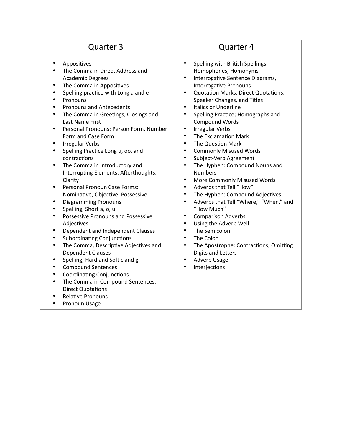- Appositives
- The Comma in Direct Address and Academic Degrees
- The Comma in Appositives
- Spelling practice with Long a and e
- **Pronouns**
- Pronouns and Antecedents
- The Comma in Greetings, Closings and Last Name First
- Personal Pronouns: Person Form, Number Form and Case Form
- Irregular Verbs
- Spelling Practice Long u, oo, and contractions
- The Comma in Introductory and Interrupting Elements; Afterthoughts, Clarity
- Personal Pronoun Case Forms: Nominative, Objective, Possessive
- Diagramming Pronouns
- Spelling, Short a, o, u
- Possessive Pronouns and Possessive Adjectives
- Dependent and Independent Clauses
- Subordinating Conjunctions
- The Comma, Descriptive Adjectives and Dependent Clauses
- Spelling, Hard and Soft c and g
- Compound Sentences
- Coordinating Conjunctions
- The Comma in Compound Sentences, Direct Quotations
- Relative Pronouns
- Pronoun Usage

- Spelling with British Spellings, Homophones, Homonyms
- Interrogative Sentence Diagrams, Interrogative Pronouns
- Quotation Marks; Direct Quotations, Speaker Changes, and Titles
- Italics or Underline
- Spelling Practice; Homographs and Compound Words
- Irregular Verbs
- The Exclamation Mark
- The Question Mark
- Commonly Misused Words
- Subject-Verb Agreement
- The Hyphen: Compound Nouns and Numbers
- More Commonly Misused Words
- Adverbs that Tell "How"
- The Hyphen: Compound Adjectives
- Adverbs that Tell "Where," "When," and "How Much"
- Comparison Adverbs
- Using the Adverb Well
- The Semicolon
- The Colon
- The Apostrophe: Contractions; Omitting Digits and Letters
- Adverb Usage
- Interjections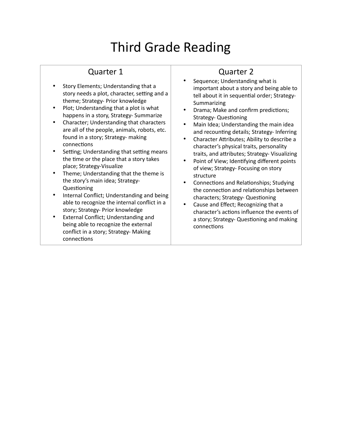# Third Grade Reading

## Quarter 1

- Story Elements; Understanding that a story needs a plot, character, setting and a theme; Strategy- Prior knowledge
- Plot; Understanding that a plot is what happens in a story, Strategy- Summarize
- Character; Understanding that characters are all of the people, animals, robots, etc. found in a story; Strategy- making connections
- Setting; Understanding that setting means the time or the place that a story takes place; Strategy-Visualize
- Theme; Understanding that the theme is the story's main idea; Strategy-Questioning
- Internal Conflict; Understanding and being able to recognize the internal conflict in a story; Strategy- Prior knowledge
- External Conflict; Understanding and being able to recognize the external conflict in a story; Strategy- Making connections

- Sequence; Understanding what is important about a story and being able to tell about it in sequential order; Strategy-Summarizing
- Drama; Make and confirm predictions; Strategy- Questioning
- Main Idea; Understanding the main idea and recounting details; Strategy- Inferring
- Character Attributes; Ability to describe a character's physical traits, personality traits, and attributes; Strategy- Visualizing
- Point of View; Identifying different points of view; Strategy- Focusing on story structure
- Connections and Relationships; Studying the connection and relationships between characters; Strategy- Questioning
- Cause and Effect; Recognizing that a character's actions influence the events of a story; Strategy- Questioning and making connections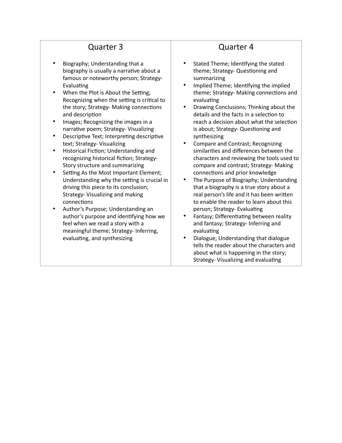- Biography; Understanding that a biography is usually a narrative about a famous or noteworthy person; Strategy-Evaluating
- When the Plot is About the Setting; Recognizing when the setting is critical to the story; Strategy- Making connections and description
- Images; Recognizing the images in a narrative poem; Strategy- Visualizing
- Descriptive Text; Interpreting descriptive text; Strategy- Visualizing
- Historical Fiction; Understanding and recognizing historical fiction; Strategy-Story structure and summarizing
- Setting As the Most Important Element; Understanding why the setting is crucial in driving this piece to its conclusion; Strategy- Visualizing and making connections
- Author's Purpose; Understanding an author's purpose and identifying how we feel when we read a story with a meaningful theme; Strategy- Inferring, evaluating, and synthesizing

- Stated Theme; Identifying the stated theme; Strategy- Questioning and summarizing
- Implied Theme; Identifying the implied theme; Strategy- Making connections and evaluating
- Drawing Conclusions; Thinking about the details and the facts in a selection to reach a decision about what the selection is about; Strategy- Questioning and synthesizing
- Compare and Contrast; Recognizing similarities and differences between the characters and reviewing the tools used to compare and contrast; Strategy- Making connections and prior knowledge
- The Purpose of Biography; Understanding that a biography is a true story about a real person's life and it has been written to enable the reader to learn about this person; Strategy- Evaluating
- Fantasy; Differentiating between reality and fantasy; Strategy- Inferring and evaluating
- Dialogue; Understanding that dialogue tells the reader about the characters and about what is happening in the story; Strategy- Visualizing and evaluating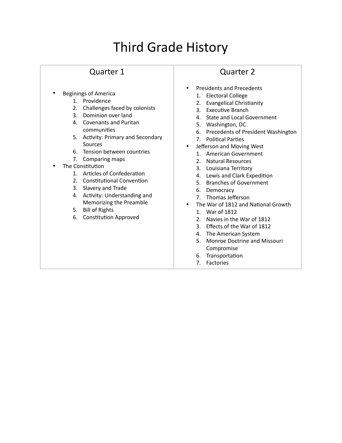# Third Grade History

#### Quarter 1

- Beginings of America
	- 1. Providence
	- 2. Challenges faced by colonists
	- 3. Dominion over land
	- 4. Covenants and Puritan communities
	- 5. Activity: Primary and Secondary Sources
	- 6. Tension between countries
	- 7. Comparing maps
- The Constitution
	- 1. Articles of Confederation
	- 2. Constitutional Convention
	- 3. Slavery and Trade
	- 4. Activity: Understanding and Memorizing the Preamble
	- 5. Bill of Rights
	- 6. Constitution Approved

- Presidents and Precedents
	- 1. Electoral College
	- 2. Evangelical Christianity
	- 3. Executive Branch
	- 4. State and Local Government
	- 5. Washington, DC
	- 6. Precedents of President Washington
	- 7. Political Parties
	- Jefferson and Moving West
	- 1. American Government
	- 2. Natural Resources
	- 3. Louisiana Territory
	- 4. Lewis and Clark Expedition
	- 5. Branches of Government
	- 6. Democracy
	- 7. Thomas Jefferson
- The War of 1812 and National Growth
	- 1. War of 1812
	- 2. Navies in the War of 1812
	- 3. Effects of the War of 1812
	- 4. The American System
	- 5. Monroe Doctrine and Missouri Compromise
	- 6. Transportation
	- 7. Factories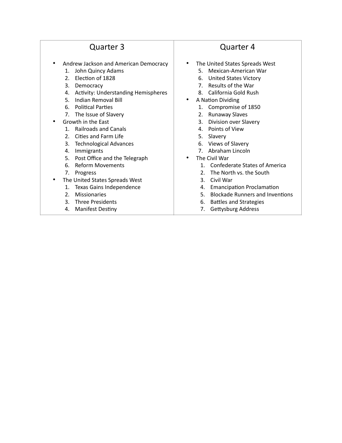- Andrew Jackson and American Democracy
	- 1. John Quincy Adams
	- 2. Election of 1828
	- 3. Democracy
	- 4. Activity: Understanding Hemispheres
	- 5. Indian Removal Bill
	- 6. Political Parties
	- 7. The Issue of Slavery
- Growth in the East
	- 1. Railroads and Canals
	- 2. Cities and Farm Life
	- 3. Technological Advances
	- 4. Immigrants
	- 5. Post Office and the Telegraph
	- 6. Reform Movements
	- 7. Progress
- The United States Spreads West
	- 1. Texas Gains Independence
	- 2. Missionaries
	- 3. Three Presidents
	- 4. Manifest Destiny

- The United States Spreads West
	- 5. Mexican-American War
	- 6. United States Victory
	- 7. Results of the War
	- 8. California Gold Rush
- A Nation Dividing
	- 1. Compromise of 1850
	- 2. Runaway Slaves
	- 3. Division over Slavery
	- 4. Points of View
	- 5. Slavery
	- 6. Views of Slavery
	- 7. Abraham Lincoln
- The Civil War
	- 1. Confederate States of America
	- 2. The North vs. the South
	- 3. Civil War
	- 4. Emancipation Proclamation
	- 5. Blockade Runners and Inventions
	- 6. Battles and Strategies
	- 7. Gettysburg Address